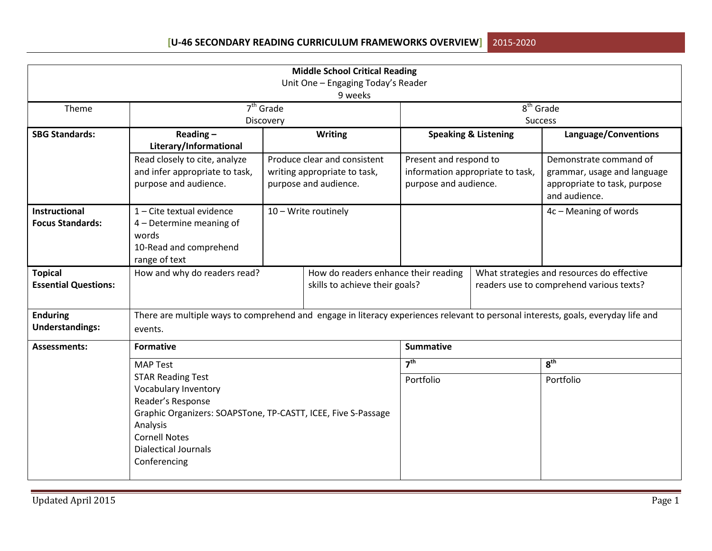|                                                                                                                                                                                                      |                                                                                                                                              |                                                                        | <b>Middle School Critical Reading</b>                                                 |                                                 |                                                    |                                                                                                        |  |
|------------------------------------------------------------------------------------------------------------------------------------------------------------------------------------------------------|----------------------------------------------------------------------------------------------------------------------------------------------|------------------------------------------------------------------------|---------------------------------------------------------------------------------------|-------------------------------------------------|----------------------------------------------------|--------------------------------------------------------------------------------------------------------|--|
|                                                                                                                                                                                                      |                                                                                                                                              |                                                                        | Unit One - Engaging Today's Reader<br>9 weeks                                         |                                                 |                                                    |                                                                                                        |  |
| Theme                                                                                                                                                                                                | $7th$ Grade<br>Discovery                                                                                                                     |                                                                        |                                                                                       |                                                 | $\overline{8}^{\text{th}}$ Grade<br><b>Success</b> |                                                                                                        |  |
| <b>SBG Standards:</b>                                                                                                                                                                                | Reading $-$<br>Literary/Informational                                                                                                        |                                                                        | <b>Writing</b>                                                                        |                                                 | <b>Speaking &amp; Listening</b>                    | Language/Conventions                                                                                   |  |
|                                                                                                                                                                                                      | Read closely to cite, analyze<br>and infer appropriate to task,<br>purpose and audience.                                                     |                                                                        | Produce clear and consistent<br>writing appropriate to task,<br>purpose and audience. | Present and respond to<br>purpose and audience. | information appropriate to task,                   | Demonstrate command of<br>grammar, usage and language<br>appropriate to task, purpose<br>and audience. |  |
| Instructional<br><b>Focus Standards:</b>                                                                                                                                                             | 1 - Cite textual evidence<br>4 - Determine meaning of<br>words<br>10-Read and comprehend<br>range of text                                    |                                                                        | 10 - Write routinely                                                                  |                                                 |                                                    | 4c - Meaning of words                                                                                  |  |
| <b>Topical</b><br><b>Essential Questions:</b>                                                                                                                                                        | How and why do readers read?                                                                                                                 | How do readers enhance their reading<br>skills to achieve their goals? |                                                                                       |                                                 |                                                    | What strategies and resources do effective<br>readers use to comprehend various texts?                 |  |
| <b>Enduring</b><br><b>Understandings:</b>                                                                                                                                                            | There are multiple ways to comprehend and engage in literacy experiences relevant to personal interests, goals, everyday life and<br>events. |                                                                        |                                                                                       |                                                 |                                                    |                                                                                                        |  |
| Assessments:                                                                                                                                                                                         | <b>Formative</b>                                                                                                                             |                                                                        |                                                                                       | <b>Summative</b>                                |                                                    |                                                                                                        |  |
|                                                                                                                                                                                                      | <b>MAP Test</b><br><b>STAR Reading Test</b>                                                                                                  |                                                                        |                                                                                       | 7 <sup>th</sup><br>Portfolio                    |                                                    | 8 <sup>th</sup><br>Portfolio                                                                           |  |
| <b>Vocabulary Inventory</b><br>Reader's Response<br>Graphic Organizers: SOAPSTone, TP-CASTT, ICEE, Five S-Passage<br>Analysis<br><b>Cornell Notes</b><br><b>Dialectical Journals</b><br>Conferencing |                                                                                                                                              |                                                                        |                                                                                       |                                                 |                                                    |                                                                                                        |  |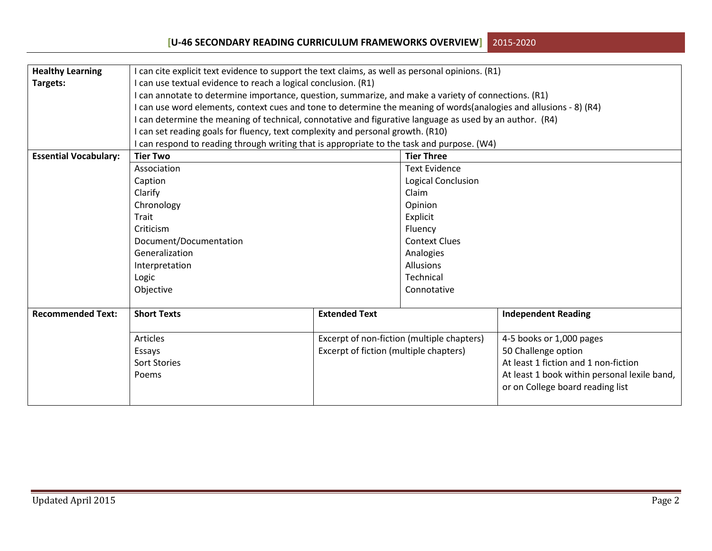| <b>Healthy Learning</b>      | I can cite explicit text evidence to support the text claims, as well as personal opinions. (R1)                   |                                        |                                            |                                                                                  |  |  |  |
|------------------------------|--------------------------------------------------------------------------------------------------------------------|----------------------------------------|--------------------------------------------|----------------------------------------------------------------------------------|--|--|--|
| Targets:                     | I can use textual evidence to reach a logical conclusion. (R1)                                                     |                                        |                                            |                                                                                  |  |  |  |
|                              | I can annotate to determine importance, question, summarize, and make a variety of connections. (R1)               |                                        |                                            |                                                                                  |  |  |  |
|                              | I can use word elements, context cues and tone to determine the meaning of words(analogies and allusions - 8) (R4) |                                        |                                            |                                                                                  |  |  |  |
|                              | I can determine the meaning of technical, connotative and figurative language as used by an author. (R4)           |                                        |                                            |                                                                                  |  |  |  |
|                              | I can set reading goals for fluency, text complexity and personal growth. (R10)                                    |                                        |                                            |                                                                                  |  |  |  |
|                              | I can respond to reading through writing that is appropriate to the task and purpose. (W4)                         |                                        |                                            |                                                                                  |  |  |  |
| <b>Essential Vocabulary:</b> | <b>Tier Two</b>                                                                                                    |                                        | <b>Tier Three</b>                          |                                                                                  |  |  |  |
|                              | Association                                                                                                        |                                        | <b>Text Evidence</b>                       |                                                                                  |  |  |  |
|                              | Caption                                                                                                            |                                        | <b>Logical Conclusion</b>                  |                                                                                  |  |  |  |
|                              | Clarify                                                                                                            |                                        | Claim                                      |                                                                                  |  |  |  |
|                              | Chronology                                                                                                         |                                        | Opinion                                    |                                                                                  |  |  |  |
|                              | Trait                                                                                                              |                                        | Explicit                                   |                                                                                  |  |  |  |
|                              | Criticism                                                                                                          | Fluency                                |                                            |                                                                                  |  |  |  |
|                              | Document/Documentation<br><b>Context Clues</b>                                                                     |                                        |                                            |                                                                                  |  |  |  |
|                              | Generalization<br>Analogies                                                                                        |                                        |                                            |                                                                                  |  |  |  |
|                              | Interpretation                                                                                                     |                                        |                                            |                                                                                  |  |  |  |
|                              | Logic                                                                                                              |                                        | Technical                                  |                                                                                  |  |  |  |
|                              | Objective                                                                                                          |                                        | Connotative                                |                                                                                  |  |  |  |
|                              |                                                                                                                    |                                        |                                            |                                                                                  |  |  |  |
| <b>Recommended Text:</b>     | <b>Short Texts</b>                                                                                                 | <b>Extended Text</b>                   |                                            | <b>Independent Reading</b>                                                       |  |  |  |
|                              | Articles                                                                                                           |                                        | Excerpt of non-fiction (multiple chapters) | 4-5 books or 1,000 pages                                                         |  |  |  |
|                              | Essays                                                                                                             | Excerpt of fiction (multiple chapters) |                                            | 50 Challenge option                                                              |  |  |  |
|                              | Sort Stories                                                                                                       |                                        |                                            | At least 1 fiction and 1 non-fiction                                             |  |  |  |
|                              | Poems                                                                                                              |                                        |                                            | At least 1 book within personal lexile band,<br>or on College board reading list |  |  |  |
|                              |                                                                                                                    |                                        |                                            |                                                                                  |  |  |  |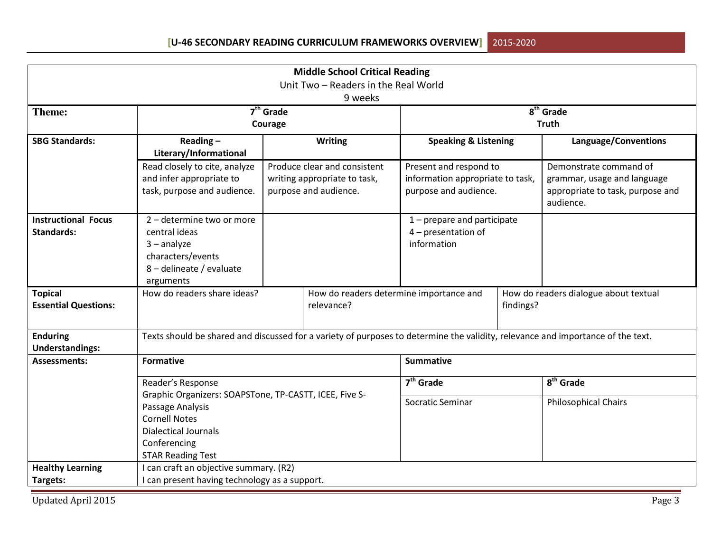| <b>Middle School Critical Reading</b>           |                                                                                                                                                   |             |                                                                                       |                                                                                     |             |                                                                                                        |  |
|-------------------------------------------------|---------------------------------------------------------------------------------------------------------------------------------------------------|-------------|---------------------------------------------------------------------------------------|-------------------------------------------------------------------------------------|-------------|--------------------------------------------------------------------------------------------------------|--|
|                                                 |                                                                                                                                                   |             | Unit Two - Readers in the Real World                                                  |                                                                                     |             |                                                                                                        |  |
|                                                 |                                                                                                                                                   |             | 9 weeks                                                                               |                                                                                     |             |                                                                                                        |  |
| <b>Theme:</b>                                   |                                                                                                                                                   | $7th$ Grade |                                                                                       |                                                                                     | $8th$ Grade |                                                                                                        |  |
|                                                 |                                                                                                                                                   | Courage     |                                                                                       |                                                                                     |             | <b>Truth</b>                                                                                           |  |
| <b>SBG Standards:</b>                           | Reading $-$<br>Literary/Informational                                                                                                             |             | <b>Writing</b>                                                                        | <b>Speaking &amp; Listening</b>                                                     |             | Language/Conventions                                                                                   |  |
|                                                 | Read closely to cite, analyze<br>and infer appropriate to<br>task, purpose and audience.                                                          |             | Produce clear and consistent<br>writing appropriate to task,<br>purpose and audience. | Present and respond to<br>information appropriate to task,<br>purpose and audience. |             | Demonstrate command of<br>grammar, usage and language<br>appropriate to task, purpose and<br>audience. |  |
| <b>Instructional Focus</b><br><b>Standards:</b> | 2 - determine two or more<br>central ideas<br>$3 -$ analyze<br>characters/events<br>8 - delineate / evaluate<br>arguments                         |             |                                                                                       | $1$ – prepare and participate<br>4 - presentation of<br>information                 |             |                                                                                                        |  |
| <b>Topical</b><br><b>Essential Questions:</b>   | How do readers share ideas?                                                                                                                       |             | How do readers determine importance and<br>relevance?                                 |                                                                                     | findings?   | How do readers dialogue about textual                                                                  |  |
| <b>Enduring</b><br><b>Understandings:</b>       | Texts should be shared and discussed for a variety of purposes to determine the validity, relevance and importance of the text.                   |             |                                                                                       |                                                                                     |             |                                                                                                        |  |
| <b>Assessments:</b>                             | <b>Formative</b>                                                                                                                                  |             |                                                                                       | <b>Summative</b>                                                                    |             |                                                                                                        |  |
|                                                 | Reader's Response                                                                                                                                 |             |                                                                                       | $7th$ Grade                                                                         |             | 8 <sup>th</sup> Grade                                                                                  |  |
|                                                 | Graphic Organizers: SOAPSTone, TP-CASTT, ICEE, Five S-<br>Passage Analysis<br><b>Cornell Notes</b><br><b>Dialectical Journals</b><br>Conferencing |             |                                                                                       | Socratic Seminar                                                                    |             | <b>Philosophical Chairs</b>                                                                            |  |
|                                                 | <b>STAR Reading Test</b>                                                                                                                          |             |                                                                                       |                                                                                     |             |                                                                                                        |  |
| <b>Healthy Learning</b>                         | I can craft an objective summary. (R2)                                                                                                            |             |                                                                                       |                                                                                     |             |                                                                                                        |  |
| Targets:                                        | I can present having technology as a support.                                                                                                     |             |                                                                                       |                                                                                     |             |                                                                                                        |  |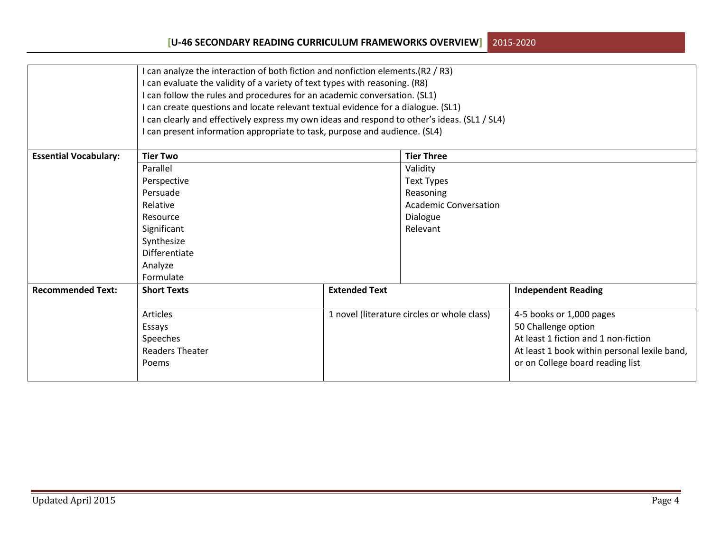|                              | I can analyze the interaction of both fiction and nonfiction elements.(R2 / R3)              |                      |                                             |                                              |  |  |  |
|------------------------------|----------------------------------------------------------------------------------------------|----------------------|---------------------------------------------|----------------------------------------------|--|--|--|
|                              | I can evaluate the validity of a variety of text types with reasoning. (R8)                  |                      |                                             |                                              |  |  |  |
|                              | I can follow the rules and procedures for an academic conversation. (SL1)                    |                      |                                             |                                              |  |  |  |
|                              | I can create questions and locate relevant textual evidence for a dialogue. (SL1)            |                      |                                             |                                              |  |  |  |
|                              | I can clearly and effectively express my own ideas and respond to other's ideas. (SL1 / SL4) |                      |                                             |                                              |  |  |  |
|                              | I can present information appropriate to task, purpose and audience. (SL4)                   |                      |                                             |                                              |  |  |  |
|                              |                                                                                              |                      |                                             |                                              |  |  |  |
| <b>Essential Vocabulary:</b> | <b>Tier Two</b>                                                                              |                      | <b>Tier Three</b>                           |                                              |  |  |  |
|                              | Parallel                                                                                     |                      | Validity                                    |                                              |  |  |  |
|                              | Perspective                                                                                  |                      | <b>Text Types</b>                           |                                              |  |  |  |
|                              | Persuade                                                                                     |                      | Reasoning                                   |                                              |  |  |  |
|                              | Relative<br>Resource<br>Significant                                                          |                      | <b>Academic Conversation</b>                |                                              |  |  |  |
|                              |                                                                                              |                      | Dialogue                                    |                                              |  |  |  |
|                              |                                                                                              |                      | Relevant                                    |                                              |  |  |  |
|                              | Synthesize                                                                                   |                      |                                             |                                              |  |  |  |
|                              | <b>Differentiate</b>                                                                         |                      |                                             |                                              |  |  |  |
|                              | Analyze                                                                                      |                      |                                             |                                              |  |  |  |
|                              | Formulate                                                                                    |                      |                                             |                                              |  |  |  |
| <b>Recommended Text:</b>     | <b>Short Texts</b>                                                                           | <b>Extended Text</b> | <b>Independent Reading</b>                  |                                              |  |  |  |
|                              |                                                                                              |                      |                                             |                                              |  |  |  |
|                              | Articles                                                                                     |                      | 1 novel (literature circles or whole class) | 4-5 books or 1,000 pages                     |  |  |  |
|                              | Essays                                                                                       |                      |                                             | 50 Challenge option                          |  |  |  |
|                              | Speeches                                                                                     |                      |                                             | At least 1 fiction and 1 non-fiction         |  |  |  |
|                              | <b>Readers Theater</b>                                                                       |                      |                                             | At least 1 book within personal lexile band, |  |  |  |
|                              | Poems                                                                                        |                      |                                             | or on College board reading list             |  |  |  |
|                              |                                                                                              |                      |                                             |                                              |  |  |  |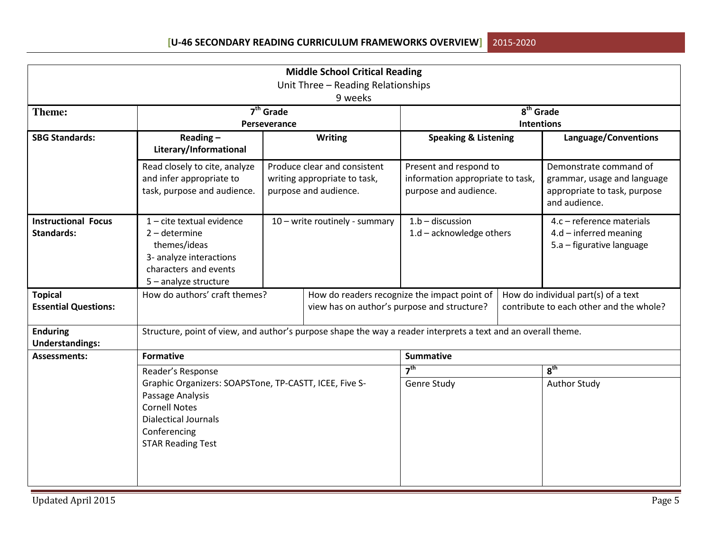| <b>Middle School Critical Reading</b><br>Unit Three - Reading Relationships<br>9 weeks |                                                                                                                                                                               |                                                                              |                                                                                       |                                                                                     |                                                |                                                                                                        |  |
|----------------------------------------------------------------------------------------|-------------------------------------------------------------------------------------------------------------------------------------------------------------------------------|------------------------------------------------------------------------------|---------------------------------------------------------------------------------------|-------------------------------------------------------------------------------------|------------------------------------------------|--------------------------------------------------------------------------------------------------------|--|
| Theme:                                                                                 | $7th$ Grade<br>Perseverance                                                                                                                                                   |                                                                              |                                                                                       |                                                                                     | $\overline{8^{th}}$ Grade<br><b>Intentions</b> |                                                                                                        |  |
| <b>SBG Standards:</b>                                                                  | Reading-<br>Literary/Informational                                                                                                                                            |                                                                              | Writing                                                                               | <b>Speaking &amp; Listening</b>                                                     |                                                | Language/Conventions                                                                                   |  |
|                                                                                        | Read closely to cite, analyze<br>and infer appropriate to<br>task, purpose and audience.                                                                                      |                                                                              | Produce clear and consistent<br>writing appropriate to task,<br>purpose and audience. | Present and respond to<br>information appropriate to task,<br>purpose and audience. |                                                | Demonstrate command of<br>grammar, usage and language<br>appropriate to task, purpose<br>and audience. |  |
| <b>Instructional Focus</b><br><b>Standards:</b>                                        | $1$ – cite textual evidence<br>$2$ – determine<br>themes/ideas<br>3- analyze interactions<br>characters and events<br>5 - analyze structure                                   |                                                                              | 10 - write routinely - summary                                                        | $1.b -$ discussion<br>$1.d - \text{acknowledge others}$                             |                                                | 4.c - reference materials<br>$4.d$ – inferred meaning<br>5.a – figurative language                     |  |
| <b>Topical</b><br><b>Essential Questions:</b>                                          |                                                                                                                                                                               | How do authors' craft themes?<br>view has on author's purpose and structure? |                                                                                       | How do readers recognize the impact point of                                        |                                                | How do individual part(s) of a text<br>contribute to each other and the whole?                         |  |
| <b>Enduring</b><br><b>Understandings:</b>                                              | Structure, point of view, and author's purpose shape the way a reader interprets a text and an overall theme.                                                                 |                                                                              |                                                                                       |                                                                                     |                                                |                                                                                                        |  |
| <b>Assessments:</b>                                                                    | <b>Formative</b>                                                                                                                                                              |                                                                              |                                                                                       | <b>Summative</b>                                                                    |                                                |                                                                                                        |  |
|                                                                                        | Reader's Response                                                                                                                                                             |                                                                              |                                                                                       | 7 <sup>th</sup>                                                                     |                                                | 8 <sup>th</sup>                                                                                        |  |
|                                                                                        | Graphic Organizers: SOAPSTone, TP-CASTT, ICEE, Five S-<br>Passage Analysis<br><b>Cornell Notes</b><br><b>Dialectical Journals</b><br>Conferencing<br><b>STAR Reading Test</b> |                                                                              | Genre Study                                                                           |                                                                                     | <b>Author Study</b>                            |                                                                                                        |  |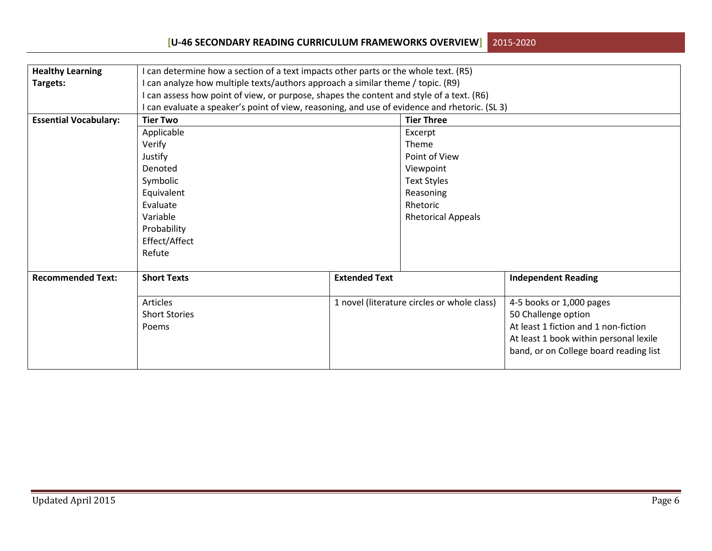## **[U-46 SECONDARY READING CURRICULUM FRAMEWORKS OVERVIEW]**2015-2020

| <b>Healthy Learning</b>      | I can determine how a section of a text impacts other parts or the whole text. (R5)           |                                        |                                             |                                        |  |  |  |
|------------------------------|-----------------------------------------------------------------------------------------------|----------------------------------------|---------------------------------------------|----------------------------------------|--|--|--|
| Targets:                     | I can analyze how multiple texts/authors approach a similar theme / topic. (R9)               |                                        |                                             |                                        |  |  |  |
|                              | I can assess how point of view, or purpose, shapes the content and style of a text. (R6)      |                                        |                                             |                                        |  |  |  |
|                              | I can evaluate a speaker's point of view, reasoning, and use of evidence and rhetoric. (SL 3) |                                        |                                             |                                        |  |  |  |
| <b>Essential Vocabulary:</b> | <b>Tier Two</b>                                                                               |                                        | <b>Tier Three</b>                           |                                        |  |  |  |
|                              | Applicable                                                                                    |                                        | Excerpt                                     |                                        |  |  |  |
|                              | Verify                                                                                        |                                        | Theme                                       |                                        |  |  |  |
|                              | Justify                                                                                       |                                        | Point of View                               |                                        |  |  |  |
|                              | Denoted                                                                                       |                                        | Viewpoint                                   |                                        |  |  |  |
|                              | Symbolic                                                                                      |                                        | <b>Text Styles</b>                          |                                        |  |  |  |
|                              | Equivalent                                                                                    |                                        | Reasoning                                   |                                        |  |  |  |
|                              | Evaluate                                                                                      |                                        | Rhetoric                                    |                                        |  |  |  |
|                              | Variable                                                                                      |                                        | <b>Rhetorical Appeals</b>                   |                                        |  |  |  |
|                              | Probability                                                                                   |                                        |                                             |                                        |  |  |  |
|                              | Effect/Affect                                                                                 |                                        |                                             |                                        |  |  |  |
|                              | Refute                                                                                        |                                        |                                             |                                        |  |  |  |
|                              |                                                                                               |                                        |                                             |                                        |  |  |  |
| <b>Recommended Text:</b>     | <b>Short Texts</b>                                                                            | <b>Extended Text</b>                   |                                             | <b>Independent Reading</b>             |  |  |  |
|                              |                                                                                               |                                        |                                             |                                        |  |  |  |
|                              | Articles                                                                                      |                                        | 1 novel (literature circles or whole class) | 4-5 books or 1,000 pages               |  |  |  |
|                              | <b>Short Stories</b>                                                                          |                                        |                                             | 50 Challenge option                    |  |  |  |
|                              | Poems                                                                                         |                                        |                                             | At least 1 fiction and 1 non-fiction   |  |  |  |
|                              |                                                                                               | At least 1 book within personal lexile |                                             |                                        |  |  |  |
|                              |                                                                                               |                                        |                                             | band, or on College board reading list |  |  |  |
|                              |                                                                                               |                                        |                                             |                                        |  |  |  |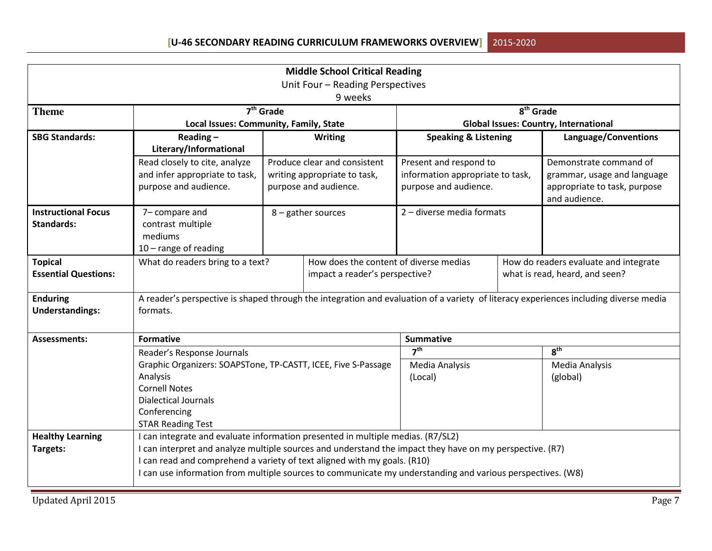| <b>Middle School Critical Reading</b>           |                                                                                                                                                                                                                                                                                                                                                                                       |                                                                          |                                                                                       |                                                                                     |                            |                                                                                                        |
|-------------------------------------------------|---------------------------------------------------------------------------------------------------------------------------------------------------------------------------------------------------------------------------------------------------------------------------------------------------------------------------------------------------------------------------------------|--------------------------------------------------------------------------|---------------------------------------------------------------------------------------|-------------------------------------------------------------------------------------|----------------------------|--------------------------------------------------------------------------------------------------------|
| Unit Four - Reading Perspectives                |                                                                                                                                                                                                                                                                                                                                                                                       |                                                                          |                                                                                       |                                                                                     |                            |                                                                                                        |
| 9 weeks                                         |                                                                                                                                                                                                                                                                                                                                                                                       |                                                                          |                                                                                       |                                                                                     |                            |                                                                                                        |
| <b>Theme</b>                                    |                                                                                                                                                                                                                                                                                                                                                                                       | $7th$ Grade                                                              |                                                                                       | 8 <sup>th</sup> Grade                                                               |                            |                                                                                                        |
|                                                 | Local Issues: Community, Family, State                                                                                                                                                                                                                                                                                                                                                |                                                                          |                                                                                       |                                                                                     |                            | <b>Global Issues: Country, International</b>                                                           |
| <b>SBG Standards:</b>                           | Reading $-$<br>Literary/Informational                                                                                                                                                                                                                                                                                                                                                 |                                                                          | <b>Writing</b>                                                                        | <b>Speaking &amp; Listening</b>                                                     |                            | Language/Conventions                                                                                   |
|                                                 | Read closely to cite, analyze<br>and infer appropriate to task,<br>purpose and audience.                                                                                                                                                                                                                                                                                              |                                                                          | Produce clear and consistent<br>writing appropriate to task,<br>purpose and audience. | Present and respond to<br>information appropriate to task,<br>purpose and audience. |                            | Demonstrate command of<br>grammar, usage and language<br>appropriate to task, purpose<br>and audience. |
| <b>Instructional Focus</b><br><b>Standards:</b> | 7-compare and<br>contrast multiple<br>mediums<br>$10$ – range of reading                                                                                                                                                                                                                                                                                                              |                                                                          | 8 - gather sources                                                                    | 2 - diverse media formats                                                           |                            |                                                                                                        |
| <b>Topical</b><br><b>Essential Questions:</b>   | What do readers bring to a text?                                                                                                                                                                                                                                                                                                                                                      | How does the content of diverse medias<br>impact a reader's perspective? |                                                                                       |                                                                                     |                            | How do readers evaluate and integrate<br>what is read, heard, and seen?                                |
| <b>Enduring</b><br><b>Understandings:</b>       | A reader's perspective is shaped through the integration and evaluation of a variety of literacy experiences including diverse media<br>formats.                                                                                                                                                                                                                                      |                                                                          |                                                                                       |                                                                                     |                            |                                                                                                        |
| <b>Assessments:</b>                             | <b>Formative</b>                                                                                                                                                                                                                                                                                                                                                                      |                                                                          |                                                                                       | <b>Summative</b>                                                                    |                            |                                                                                                        |
|                                                 | Reader's Response Journals                                                                                                                                                                                                                                                                                                                                                            |                                                                          |                                                                                       | 7 <sup>th</sup>                                                                     |                            | 8 <sup>th</sup>                                                                                        |
|                                                 | Graphic Organizers: SOAPSTone, TP-CASTT, ICEE, Five S-Passage<br>Analysis<br><b>Cornell Notes</b><br><b>Dialectical Journals</b><br>Conferencing<br><b>STAR Reading Test</b>                                                                                                                                                                                                          |                                                                          | Media Analysis<br>(Local)                                                             |                                                                                     | Media Analysis<br>(global) |                                                                                                        |
| <b>Healthy Learning</b>                         |                                                                                                                                                                                                                                                                                                                                                                                       |                                                                          |                                                                                       |                                                                                     |                            |                                                                                                        |
| Targets:                                        | I can integrate and evaluate information presented in multiple medias. (R7/SL2)<br>I can interpret and analyze multiple sources and understand the impact they have on my perspective. (R7)<br>I can read and comprehend a variety of text aligned with my goals. (R10)<br>I can use information from multiple sources to communicate my understanding and various perspectives. (W8) |                                                                          |                                                                                       |                                                                                     |                            |                                                                                                        |